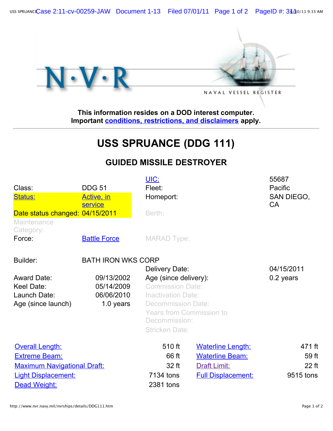USS SPRUANCE Case 2:11-CV-00259-JAW Document 1-13 Filed 07/01/11 Page 1 of 2 PageID #: 34/\$0/11 9:33 AM



**This information resides on a DOD interest computer. Important [conditions, restrictions, and disclaimers](http://www.nvr.navy.mil/disclaimer/disclaimr.htm) apply.**

## **USS SPRUANCE (DDG 111)**

## **GUIDED MISSILE DESTROYER**

| Class:<br><b>Status:</b>                                        | <b>DDG 51</b><br>Active, in                         | UIC:<br>Fleet:<br>Homeport:<br>Berth:                                                                                                                                                                     |                           | 55687<br>Pacific<br>SAN DIEGO,<br><b>CA</b> |
|-----------------------------------------------------------------|-----------------------------------------------------|-----------------------------------------------------------------------------------------------------------------------------------------------------------------------------------------------------------|---------------------------|---------------------------------------------|
| Date status changed: 04/15/2011                                 | service                                             |                                                                                                                                                                                                           |                           |                                             |
| Maintenance<br>Category:                                        |                                                     |                                                                                                                                                                                                           |                           |                                             |
| Force:                                                          | <b>Battle Force</b>                                 | <b>MARAD Type:</b>                                                                                                                                                                                        |                           |                                             |
| Builder:                                                        | <b>BATH IRON WKS CORP</b>                           |                                                                                                                                                                                                           |                           |                                             |
| Award Date:<br>Keel Date:<br>Launch Date:<br>Age (since launch) | 09/13/2002<br>05/14/2009<br>06/06/2010<br>1.0 years | Delivery Date:<br>Age (since delivery):<br><b>Commission Date:</b><br><b>Inactivation Date:</b><br><b>Decommission Date:</b><br><b>Years from Commission to</b><br>Decommission:<br><b>Stricken Date:</b> |                           | 04/15/2011<br>0.2 years                     |
| <b>Overall Length:</b>                                          |                                                     | 510 ft                                                                                                                                                                                                    | <b>Waterline Length:</b>  | 471 ft                                      |
| <b>Extreme Beam:</b>                                            |                                                     | 66 ft                                                                                                                                                                                                     | <b>Waterline Beam:</b>    | 59 ft                                       |
| <b>Maximum Navigational Draft:</b>                              |                                                     | 32 ft                                                                                                                                                                                                     | <b>Draft Limit:</b>       | 22 ft                                       |
| <b>Light Displacement:</b>                                      |                                                     | 7134 tons                                                                                                                                                                                                 | <b>Full Displacement:</b> | 9515 tons                                   |
| Dead Weight:                                                    |                                                     | 2381 tons                                                                                                                                                                                                 |                           |                                             |